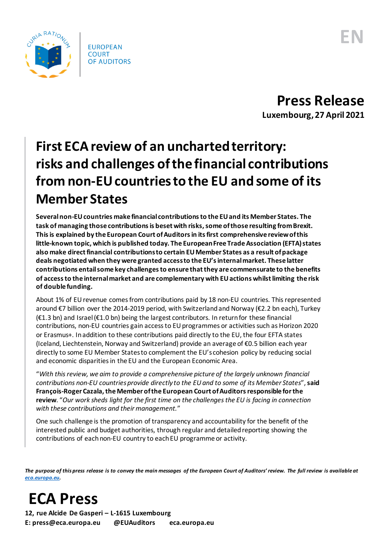

**Press Release Luxembourg, 27 April 2021**

## **First ECA review of an uncharted territory: risks and challenges of the financial contributions from non-EU countries to the EU and some of its Member States**

**Several non-EU countries make financial contributions to the EU and its Member States. The task of managing those contributions is beset with risks, some of those resulting from Brexit. This is explained by the European Court of Auditors in itsfirst comprehensive review of this**  little-known topic, which is published today. The European Free Trade Association (EFTA) states **also make direct financial contributions to certain EU Member States as a result of package deals negotiated when they were granted access to the EU's internal market. These latter contributions entail some key challenges to ensure that they are commensurate to the benefits of access to the internal market and are complementary with EU actions whilst limiting the risk of double funding.**

About 1% of EU revenue comesfrom contributions paid by 18 non-EU countries. This represented around €7 billion over the 2014-2019 period, with Switzerland and Norway (€2.2 bn each), Turkey (€1.3 bn) and Israel (€1.0 bn) being the largest contributors. In return for these financial contributions, non-EU countries gain access to EU programmes or activities such as Horizon 2020 or Erasmus+. In addition to these contributions paid directly to the EU, the four EFTA states (Iceland, Liechtenstein, Norway and Switzerland) provide an average of €0.5 billion each year directly to some EU Member States to complement the EU's cohesion policy by reducing social and economic disparities in the EU and the European Economic Area.

"*With this review, we aim to provide a comprehensive picture of the largely unknown financial contributions non-EU countries provide directly to the EU and to some of its Member States*", **said François-Roger Cazala, the Member of the European Court of Auditors responsible for the review**. "*Our work sheds light for the first time on the challenges the EU is facing in connection with these contributions and their management.*"

One such challenge is the promotion of transparency and accountability for the benefit of the interested public and budget authorities, through regular and detailed reporting showing the contributions of each non-EU country to each EU programme or activity.

*The purpose of this press release is to convey the main messages of the European Court of Auditors' review. The full review is available at [eca.europa.eu.](https://www.eca.europa.eu/)*

## **ECA Press**

**12, rue Alcide De Gasperi – L-1615 Luxembourg E: press@eca.europa.eu @EUAuditors eca.europa.eu**